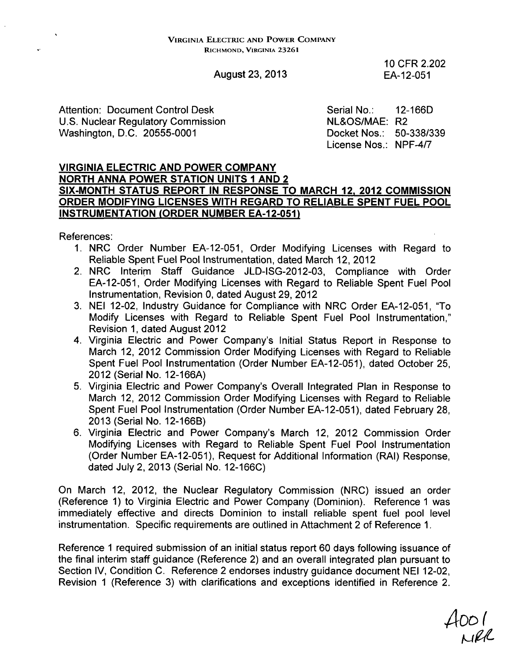## August 23, 2013

10 CFR 2.202 EA-12-051

Attention: Document Control Desk U.S. Nuclear Regulatory Commission Washington, D.C. 20555-0001

Serial No.: NL&OS/MAE: R2 Docket Nos.: 50-338/339 License Nos.: NPF-4/7 12-166D

### VIRGINIA ELECTRIC **AND** POWER COMPANY NORTH **ANNA** POWER **STATION UNITS I AND** 2 **SIX-MONTH STATUS** REPORT **IN RESPONSE** TO MARCH 12, 2012 **COMMISSION** ORDER **MODIFYING LICENSES** WITH REGARD TO RELIABLE **SPENT FUEL** POOL **INSTRUMENTATION** (ORDER **NUMBER EA-12-051)**

References:

 $\mathbf{a}^{\mathrm{c}}$ 

- 1. NRC Order Number EA-12-051, Order Modifying Licenses with Regard to Reliable Spent Fuel Pool Instrumentation, dated March 12, 2012
- 2. NRC Interim Staff Guidance JLD-ISG-2012-03, Compliance with Order EA-12-051, Order Modifying Licenses with Regard to Reliable Spent Fuel Pool Instrumentation, Revision 0, dated August 29, 2012
- 3. NEI 12-02, Industry Guidance for Compliance with NRC Order EA-12-051, "To Modify Licenses with Regard to Reliable Spent Fuel Pool Instrumentation," Revision 1, dated August 2012
- 4. Virginia Electric and Power Company's Initial Status Report in Response to March 12, 2012 Commission Order Modifying Licenses with Regard to Reliable Spent Fuel Pool Instrumentation (Order Number EA-12-051), dated October 25, 2012 (Serial No. 12-166A)
- 5. Virginia Electric and Power Company's Overall Integrated Plan in Response to March 12, 2012 Commission Order Modifying Licenses with Regard to Reliable Spent Fuel Pool Instrumentation (Order Number EA-12-051), dated February 28, 2013 (Serial No. 12-166B)
- 6. Virginia Electric and Power Company's March 12, 2012 Commission Order Modifying Licenses with Regard to Reliable Spent Fuel Pool Instrumentation (Order Number EA-12-051), Request for Additional Information (RAI) Response, dated July 2, 2013 (Serial No. 12-166C)

On March 12, 2012, the Nuclear Regulatory Commission (NRC) issued an order (Reference 1) to Virginia Electric and Power Company (Dominion). Reference 1 was immediately effective and directs Dominion to install reliable spent fuel pool level instrumentation. Specific requirements are outlined in Attachment 2 of Reference 1.

Reference 1 required submission of an initial status report 60 days following issuance of the final interim staff guidance (Reference 2) and an overall integrated plan pursuant to Section IV, Condition C. Reference 2 endorses industry guidance document NEI 12-02, Revision 1 (Reference 3) with clarifications and exceptions identified in Reference 2.

 $4001$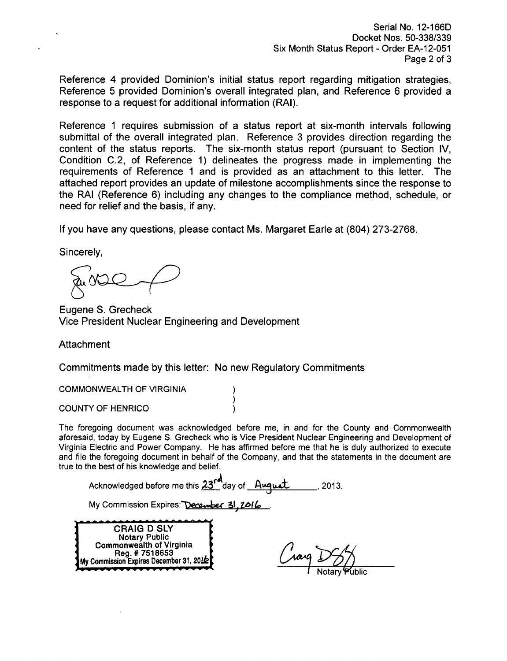Serial No. 12-166D Docket Nos. 50-338/339 Six Month Status Report - Order EA-12-051 Page 2 of **3**

Reference 4 provided Dominion's initial status report regarding mitigation strategies, Reference 5 provided Dominion's overall integrated plan, and Reference 6 provided a response to a request for additional information (RAI).

Reference **1** requires submission of a status report at six-month intervals following submittal of the overall integrated plan. Reference 3 provides direction regarding the content of the status reports. The six-month status report (pursuant to Section IV, Condition C.2, of Reference 1) delineates the progress made in implementing the requirements of Reference 1 and is provided as an attachment to this letter. The attached report provides an update of milestone accomplishments since the response to the RAI (Reference 6) including any changes to the compliance method, schedule, or need for relief and the basis, if any.

If you have any questions, please contact Ms. Margaret Earle at (804) 273-2768.

Sincerely,

Eugene S. Grecheck Vice President Nuclear Engineering and Development

Attachment

Commitments made by this letter: No new Regulatory Commitments

)

COMMONWEALTH OF VIRGINIA

COUNTY OF HENRICO

The foregoing document was acknowledged before me, in and for the County and Commonwealth aforesaid, today by Eugene S. Grecheck who is Vice President Nuclear Engineering and Development of Virginia Electric and Power Company. He has affirmed before me that he is duly authorized to execute and file the foregoing document in behalf of the Company, and that the statements in the document are true to the best of his knowledge and belief.

Acknowledged before me this 23<sup>rd</sup> day of August 10.13.

My Commission Expires: December 31, 2016

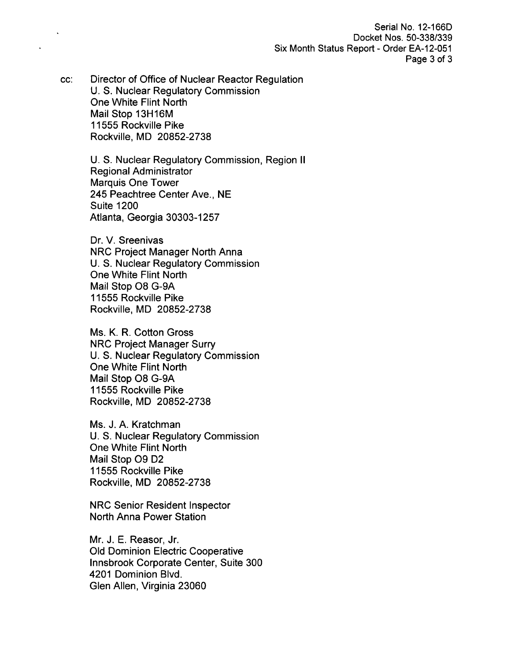Serial No. 12-166D Docket Nos. 50-338/339 Six Month Status Report - Order EA-12-051 Page 3 of **3**

cc: Director of Office of Nuclear Reactor Regulation U. S. Nuclear Regulatory Commission One White Flint North Mail Stop 13H16M 11555 Rockville Pike Rockville, MD 20852-2738

> U. S. Nuclear Regulatory Commission, Region II Regional Administrator Marquis One Tower 245 Peachtree Center Ave., NE Suite 1200 Atlanta, Georgia 30303-1257

Dr. V. Sreenivas NRC Project Manager North Anna U. S. Nuclear Regulatory Commission One White Flint North Mail Stop 08 G-9A 11555 Rockville Pike Rockville, MD 20852-2738

Ms. K. R. Cotton Gross NRC Project Manager Surry U. S. Nuclear Regulatory Commission One White Flint North Mail Stop 08 G-9A 11555 Rockville Pike Rockville, MD 20852-2738

Ms. J. A. Kratchman U. S. Nuclear Regulatory Commission One White Flint North Mail Stop 09 D2 11555 Rockville Pike Rockville, MD 20852-2738

NRC Senior Resident Inspector North Anna Power Station

Mr. J. E. Reasor, Jr. Old Dominion Electric Cooperative Innsbrook Corporate Center, Suite 300 4201 Dominion Blvd. Glen Allen, Virginia 23060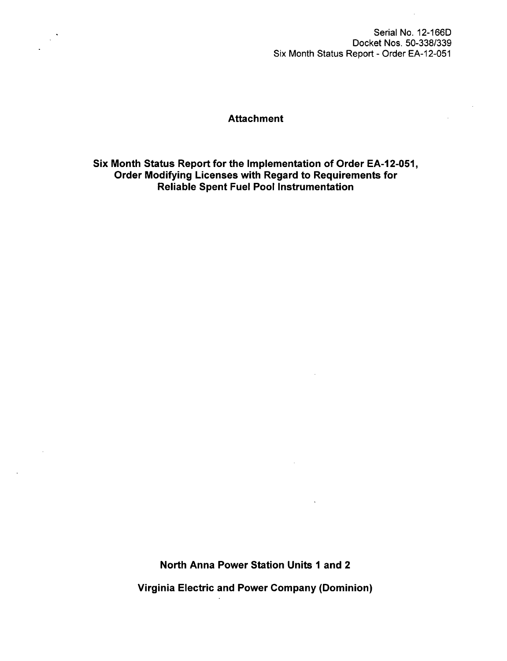Serial No. 12-166D Docket Nos. 50-338/339 Six Month Status Report - Order EA-12-051

### **Attachment**

Six Month Status Report for the Implementation of Order EA-12-051, Order Modifying Licenses with Regard to Requirements for Reliable Spent Fuel Pool Instrumentation

> North Anna Power Station Units **1** and 2 Virginia Electric and Power Company (Dominion)

 $\sim$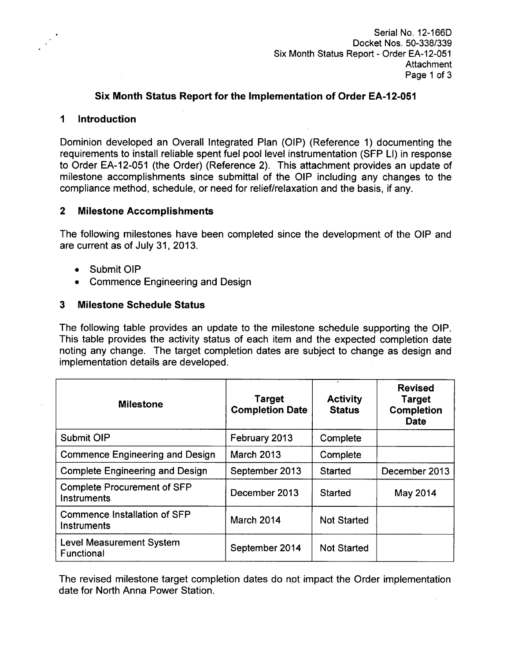### Six Month Status Report for the Implementation of Order **EA-12-051**

#### **1** Introduction

Dominion developed an Overall Integrated Plan (OIP) (Reference 1) documenting the requirements to install reliable spent fuel pool level instrumentation (SFP LI) in response to Order EA-12-051 (the Order) (Reference 2). This attachment provides an update of milestone accomplishments since submittal of the OIP including any changes to the compliance method, schedule, or need for relief/relaxation and the basis, if any.

### 2 Milestone Accomplishments

The following milestones have been completed since the development of the OIP and are current as of July 31, 2013.

- **"** Submit OIP
- **"** Commence Engineering and Design

### **3** Milestone Schedule Status

The following table provides an update to the milestone schedule supporting the OIP. This table provides the activity status of each item and the expected completion date noting any change. The target completion dates are subject to change as design and implementation details are developed.

| <b>Milestone</b>                                   | <b>Target</b><br><b>Completion Date</b> | <b>Activity</b><br><b>Status</b> | <b>Revised</b><br><b>Target</b><br><b>Completion</b><br><b>Date</b> |
|----------------------------------------------------|-----------------------------------------|----------------------------------|---------------------------------------------------------------------|
| Submit OIP                                         | February 2013                           | Complete                         |                                                                     |
| <b>Commence Engineering and Design</b>             | <b>March 2013</b>                       | Complete                         |                                                                     |
| <b>Complete Engineering and Design</b>             | September 2013                          | <b>Started</b>                   | December 2013                                                       |
| <b>Complete Procurement of SFP</b><br>Instruments  | December 2013                           | Started                          | May 2014                                                            |
| <b>Commence Installation of SFP</b><br>Instruments | March 2014                              | <b>Not Started</b>               |                                                                     |
| <b>Level Measurement System</b><br>Functional      | September 2014                          | <b>Not Started</b>               |                                                                     |

The revised milestone target completion dates do not impact the Order implementation date for North Anna Power Station.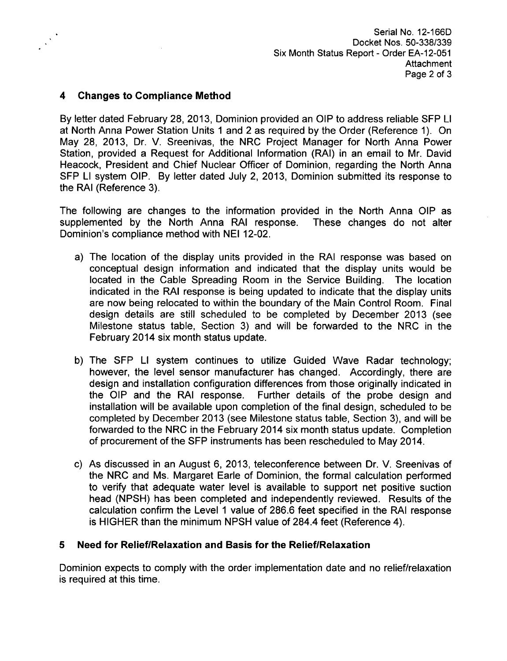# 4 Changes to Compliance Method

By letter dated February 28, 2013, Dominion provided an OIP to address reliable **SFP** LI at North Anna Power Station Units 1 and 2 as required by the Order (Reference 1). On May 28, 2013, Dr. V. Sreenivas, the NRC Project Manager for North Anna Power Station, provided a Request for Additional Information (RAI) in an email to Mr. David Heacock, President and Chief Nuclear Officer of Dominion, regarding the North Anna **SFP** LI system OIP. By letter dated July 2, 2013, Dominion submitted its response to the RAI (Reference 3).

The following are changes to the information provided in the North Anna OIP as supplemented by the North Anna RAI response. These changes do not alter Dominion's compliance method with NEI 12-02.

- a) The location of the display units provided in the RAI response was based on conceptual design information and indicated that the display units would be located in the Cable Spreading Room in the Service Building. The location indicated in the RAI response is being updated to indicate that the display units are now being relocated to within the boundary of the Main Control Room. Final design details are still scheduled to be completed by December 2013 (see Milestone status table, Section 3) and will be forwarded to the NRC in the February 2014 six month status update.
- b) The SFP LI system continues to utilize Guided Wave Radar technology; however, the level sensor manufacturer has changed. Accordingly, there are design and installation configuration differences from those originally indicated in the OIP and the RAI response. Further details of the probe design and installation will be available upon completion of the final design, scheduled to be completed by December 2013 (see Milestone status table, Section 3), and will be forwarded to the NRC in the February 2014 six month status update. Completion of procurement of the SFP instruments has been rescheduled to May 2014.
- c) As discussed in an August 6, 2013, teleconference between Dr. V. Sreenivas of the NRC and Ms. Margaret Earle of Dominion, the formal calculation performed to verify that adequate water level is available to support net positive suction head (NPSH) has been completed and independently reviewed. Results of the calculation confirm the Level **1** value of 286.6 feet specified in the RAI response is HIGHER than the minimum NPSH value of 284.4 feet (Reference 4).

## **5** Need for Relief/Relaxation and Basis for the Relief/Relaxation

Dominion expects to comply with the order implementation date and no relief/relaxation is required at this time.